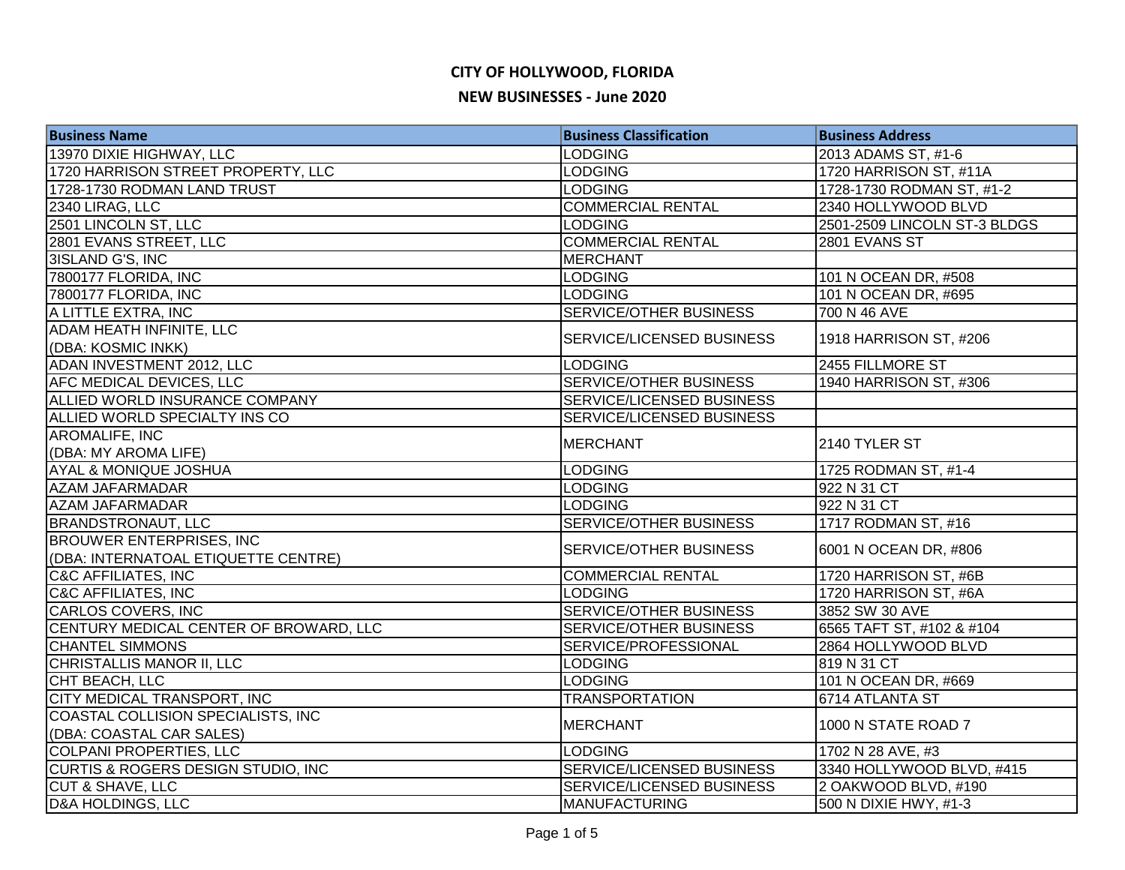| <b>Business Name</b>                           | <b>Business Classification</b> | <b>Business Address</b>      |
|------------------------------------------------|--------------------------------|------------------------------|
| 13970 DIXIE HIGHWAY, LLC                       | <b>LODGING</b>                 | 2013 ADAMS ST, #1-6          |
| 1720 HARRISON STREET PROPERTY, LLC             | <b>LODGING</b>                 | 1720 HARRISON ST, #11A       |
| 1728-1730 RODMAN LAND TRUST                    | <b>LODGING</b>                 | 1728-1730 RODMAN ST, #1-2    |
| 2340 LIRAG, LLC                                | <b>COMMERCIAL RENTAL</b>       | 2340 HOLLYWOOD BLVD          |
| 2501 LINCOLN ST, LLC                           | <b>LODGING</b>                 | 2501-2509 LINCOLN ST-3 BLDGS |
| 2801 EVANS STREET, LLC                         | <b>COMMERCIAL RENTAL</b>       | 2801 EVANS ST                |
| 3ISLAND G'S, INC                               | <b>MERCHANT</b>                |                              |
| 7800177 FLORIDA, INC                           | <b>LODGING</b>                 | 101 N OCEAN DR, #508         |
| 7800177 FLORIDA, INC                           | <b>LODGING</b>                 | 101 N OCEAN DR, #695         |
| A LITTLE EXTRA, INC                            | <b>SERVICE/OTHER BUSINESS</b>  | 700 N 46 AVE                 |
| ADAM HEATH INFINITE, LLC<br>(DBA: KOSMIC INKK) | SERVICE/LICENSED BUSINESS      | 1918 HARRISON ST, #206       |
| ADAN INVESTMENT 2012, LLC                      | <b>LODGING</b>                 | 2455 FILLMORE ST             |
| AFC MEDICAL DEVICES, LLC                       | SERVICE/OTHER BUSINESS         | 1940 HARRISON ST, #306       |
| ALLIED WORLD INSURANCE COMPANY                 | SERVICE/LICENSED BUSINESS      |                              |
| ALLIED WORLD SPECIALTY INS CO                  | SERVICE/LICENSED BUSINESS      |                              |
| <b>AROMALIFE, INC</b>                          |                                |                              |
| (DBA: MY AROMA LIFE)                           | <b>MERCHANT</b>                | 2140 TYLER ST                |
| <b>AYAL &amp; MONIQUE JOSHUA</b>               | <b>LODGING</b>                 | 1725 RODMAN ST, #1-4         |
| <b>AZAM JAFARMADAR</b>                         | <b>LODGING</b>                 | 922 N 31 CT                  |
| <b>AZAM JAFARMADAR</b>                         | <b>LODGING</b>                 | 922 N 31 CT                  |
| <b>BRANDSTRONAUT, LLC</b>                      | SERVICE/OTHER BUSINESS         | 1717 RODMAN ST, #16          |
| <b>BROUWER ENTERPRISES, INC</b>                |                                | 6001 N OCEAN DR, #806        |
| (DBA: INTERNATOAL ETIQUETTE CENTRE)            | SERVICE/OTHER BUSINESS         |                              |
| <b>C&amp;C AFFILIATES, INC</b>                 | <b>COMMERCIAL RENTAL</b>       | 1720 HARRISON ST, #6B        |
| <b>C&amp;C AFFILIATES, INC</b>                 | <b>LODGING</b>                 | 1720 HARRISON ST, #6A        |
| CARLOS COVERS, INC                             | <b>SERVICE/OTHER BUSINESS</b>  | 3852 SW 30 AVE               |
| CENTURY MEDICAL CENTER OF BROWARD, LLC         | <b>SERVICE/OTHER BUSINESS</b>  | 6565 TAFT ST, #102 & #104    |
| <b>CHANTEL SIMMONS</b>                         | SERVICE/PROFESSIONAL           | 2864 HOLLYWOOD BLVD          |
| CHRISTALLIS MANOR II, LLC                      | <b>LODGING</b>                 | 819 N 31 CT                  |
| CHT BEACH, LLC                                 | <b>LODGING</b>                 | 101 N OCEAN DR, #669         |
| CITY MEDICAL TRANSPORT, INC                    | <b>TRANSPORTATION</b>          | 6714 ATLANTA ST              |
| COASTAL COLLISION SPECIALISTS, INC             | <b>MERCHANT</b>                | 1000 N STATE ROAD 7          |
| (DBA: COASTAL CAR SALES)                       |                                |                              |
| <b>COLPANI PROPERTIES, LLC</b>                 | <b>LODGING</b>                 | 1702 N 28 AVE, #3            |
| <b>CURTIS &amp; ROGERS DESIGN STUDIO, INC</b>  | SERVICE/LICENSED BUSINESS      | 3340 HOLLYWOOD BLVD, #415    |
| <b>CUT &amp; SHAVE, LLC</b>                    | SERVICE/LICENSED BUSINESS      | 2 OAKWOOD BLVD, #190         |
| <b>D&amp;A HOLDINGS, LLC</b>                   | <b>MANUFACTURING</b>           | 500 N DIXIE HWY, #1-3        |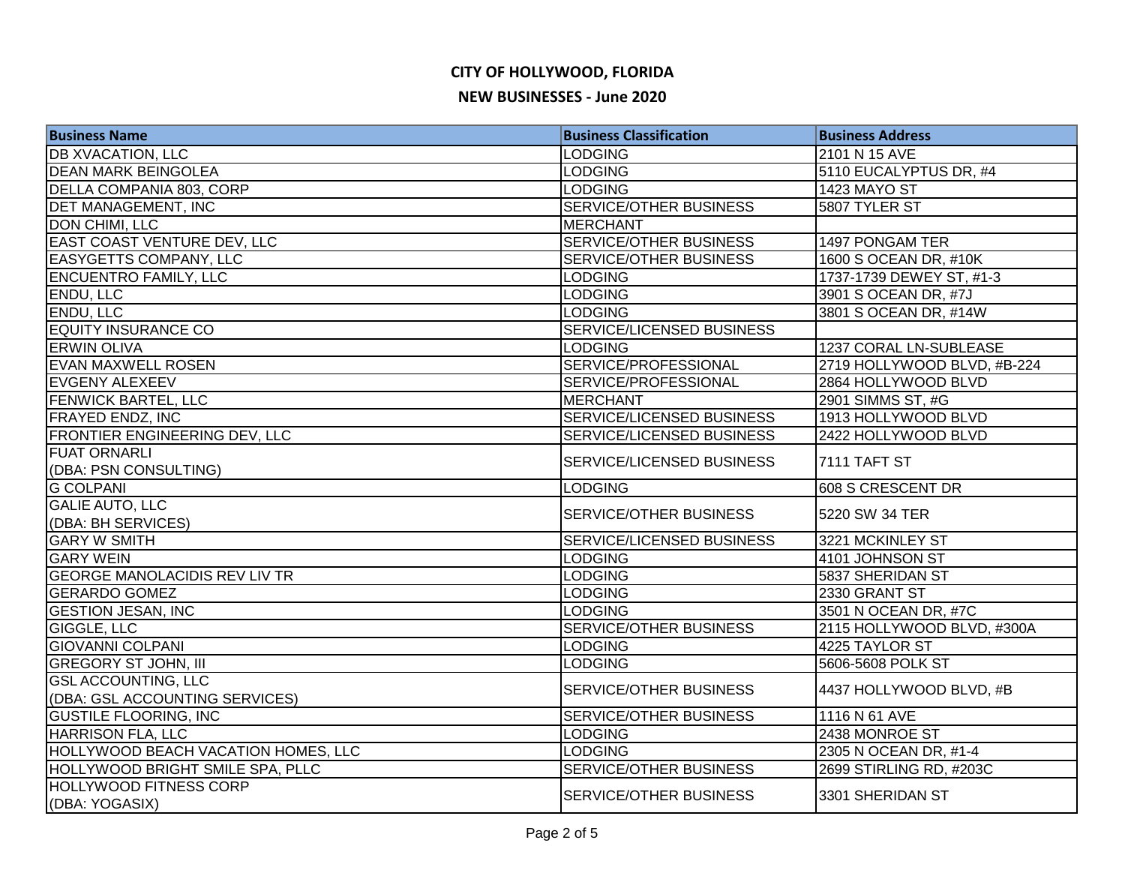| <b>Business Name</b>                 | <b>Business Classification</b> | <b>Business Address</b>     |
|--------------------------------------|--------------------------------|-----------------------------|
| <b>DB XVACATION, LLC</b>             | <b>LODGING</b>                 | 2101 N 15 AVE               |
| <b>DEAN MARK BEINGOLEA</b>           | <b>LODGING</b>                 | 5110 EUCALYPTUS DR, #4      |
| DELLA COMPANIA 803, CORP             | <b>LODGING</b>                 | <b>1423 MAYO ST</b>         |
| <b>DET MANAGEMENT, INC</b>           | SERVICE/OTHER BUSINESS         | 5807 TYLER ST               |
| <b>DON CHIMI, LLC</b>                | <b>MERCHANT</b>                |                             |
| <b>EAST COAST VENTURE DEV, LLC</b>   | <b>SERVICE/OTHER BUSINESS</b>  | 1497 PONGAM TER             |
| <b>EASYGETTS COMPANY, LLC</b>        | <b>SERVICE/OTHER BUSINESS</b>  | 1600 S OCEAN DR, #10K       |
| <b>ENCUENTRO FAMILY, LLC</b>         | <b>LODGING</b>                 | 1737-1739 DEWEY ST, #1-3    |
| <b>ENDU, LLC</b>                     | <b>LODGING</b>                 | 3901 S OCEAN DR, #7J        |
| <b>ENDU, LLC</b>                     | <b>LODGING</b>                 | 3801 S OCEAN DR, #14W       |
| <b>EQUITY INSURANCE CO</b>           | SERVICE/LICENSED BUSINESS      |                             |
| <b>ERWIN OLIVA</b>                   | <b>LODGING</b>                 | 1237 CORAL LN-SUBLEASE      |
| <b>EVAN MAXWELL ROSEN</b>            | SERVICE/PROFESSIONAL           | 2719 HOLLYWOOD BLVD, #B-224 |
| <b>EVGENY ALEXEEV</b>                | SERVICE/PROFESSIONAL           | 2864 HOLLYWOOD BLVD         |
| FENWICK BARTEL, LLC                  | <b>MERCHANT</b>                | 2901 SIMMS ST, #G           |
| <b>FRAYED ENDZ, INC</b>              | SERVICE/LICENSED BUSINESS      | 1913 HOLLYWOOD BLVD         |
| FRONTIER ENGINEERING DEV, LLC        | SERVICE/LICENSED BUSINESS      | 2422 HOLLYWOOD BLVD         |
| <b>FUAT ORNARLI</b>                  | SERVICE/LICENSED BUSINESS      | 7111 TAFT ST                |
| (DBA: PSN CONSULTING)                |                                |                             |
| <b>G COLPANI</b>                     | <b>LODGING</b>                 | 608 S CRESCENT DR           |
| <b>GALIE AUTO, LLC</b>               | SERVICE/OTHER BUSINESS         | 5220 SW 34 TER              |
| (DBA: BH SERVICES)                   |                                |                             |
| <b>GARY W SMITH</b>                  | SERVICE/LICENSED BUSINESS      | 3221 MCKINLEY ST            |
| <b>GARY WEIN</b>                     | <b>LODGING</b>                 | 4101 JOHNSON ST             |
| <b>GEORGE MANOLACIDIS REV LIV TR</b> | <b>LODGING</b>                 | 5837 SHERIDAN ST            |
| <b>GERARDO GOMEZ</b>                 | <b>LODGING</b>                 | 2330 GRANT ST               |
| <b>GESTION JESAN, INC</b>            | <b>LODGING</b>                 | 3501 N OCEAN DR, #7C        |
| GIGGLE, LLC                          | SERVICE/OTHER BUSINESS         | 2115 HOLLYWOOD BLVD, #300A  |
| <b>GIOVANNI COLPANI</b>              | <b>LODGING</b>                 | 4225 TAYLOR ST              |
| <b>GREGORY ST JOHN, III</b>          | <b>LODGING</b>                 | 5606-5608 POLK ST           |
| <b>GSLACCOUNTING, LLC</b>            | SERVICE/OTHER BUSINESS         | 4437 HOLLYWOOD BLVD, #B     |
| (DBA: GSL ACCOUNTING SERVICES)       |                                |                             |
| <b>GUSTILE FLOORING, INC</b>         | SERVICE/OTHER BUSINESS         | 1116 N 61 AVE               |
| <b>HARRISON FLA, LLC</b>             | <b>LODGING</b>                 | 2438 MONROE ST              |
| HOLLYWOOD BEACH VACATION HOMES, LLC  | <b>LODGING</b>                 | 2305 N OCEAN DR, #1-4       |
| HOLLYWOOD BRIGHT SMILE SPA, PLLC     | SERVICE/OTHER BUSINESS         | 2699 STIRLING RD, #203C     |
| <b>HOLLYWOOD FITNESS CORP</b>        | SERVICE/OTHER BUSINESS         | 3301 SHERIDAN ST            |
| (DBA: YOGASIX)                       |                                |                             |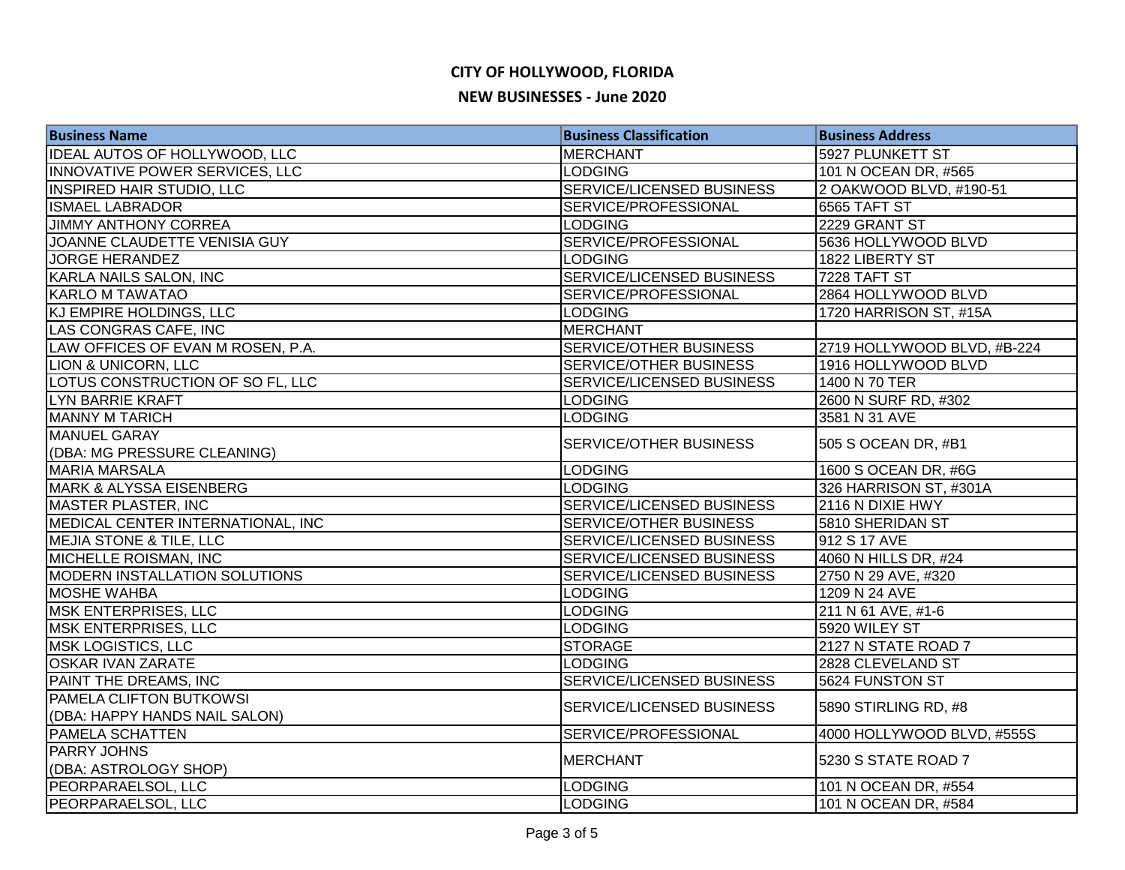| <b>Business Name</b>                 | <b>Business Classification</b>   | <b>Business Address</b>     |
|--------------------------------------|----------------------------------|-----------------------------|
| IDEAL AUTOS OF HOLLYWOOD, LLC        | <b>MERCHANT</b>                  | 5927 PLUNKETT ST            |
| INNOVATIVE POWER SERVICES, LLC       | <b>LODGING</b>                   | 101 N OCEAN DR, #565        |
| <b>INSPIRED HAIR STUDIO, LLC</b>     | <b>SERVICE/LICENSED BUSINESS</b> | 2 OAKWOOD BLVD, #190-51     |
| <b>ISMAEL LABRADOR</b>               | SERVICE/PROFESSIONAL             | 6565 TAFT ST                |
| <b>JIMMY ANTHONY CORREA</b>          | <b>LODGING</b>                   | 2229 GRANT ST               |
| JOANNE CLAUDETTE VENISIA GUY         | SERVICE/PROFESSIONAL             | 5636 HOLLYWOOD BLVD         |
| <b>JORGE HERANDEZ</b>                | <b>LODGING</b>                   | 1822 LIBERTY ST             |
| KARLA NAILS SALON, INC               | SERVICE/LICENSED BUSINESS        | 7228 TAFT ST                |
| <b>KARLO M TAWATAO</b>               | SERVICE/PROFESSIONAL             | 2864 HOLLYWOOD BLVD         |
| KJ EMPIRE HOLDINGS, LLC              | <b>LODGING</b>                   | 1720 HARRISON ST, #15A      |
| LAS CONGRAS CAFE, INC                | <b>MERCHANT</b>                  |                             |
| LAW OFFICES OF EVAN M ROSEN, P.A.    | <b>SERVICE/OTHER BUSINESS</b>    | 2719 HOLLYWOOD BLVD, #B-224 |
| <b>LION &amp; UNICORN, LLC</b>       | SERVICE/OTHER BUSINESS           | 1916 HOLLYWOOD BLVD         |
| LOTUS CONSTRUCTION OF SO FL, LLC     | SERVICE/LICENSED BUSINESS        | 1400 N 70 TER               |
| LYN BARRIE KRAFT                     | <b>LODGING</b>                   | 2600 N SURF RD, #302        |
| <b>MANNY M TARICH</b>                | <b>LODGING</b>                   | 3581 N 31 AVE               |
| MANUEL GARAY                         | SERVICE/OTHER BUSINESS           | 505 S OCEAN DR, #B1         |
| (DBA: MG PRESSURE CLEANING)          |                                  |                             |
| <b>MARIA MARSALA</b>                 | <b>LODGING</b>                   | 1600 S OCEAN DR, #6G        |
| <b>MARK &amp; ALYSSA EISENBERG</b>   | <b>LODGING</b>                   | 326 HARRISON ST, #301A      |
| MASTER PLASTER, INC                  | <b>SERVICE/LICENSED BUSINESS</b> | 2116 N DIXIE HWY            |
| MEDICAL CENTER INTERNATIONAL, INC    | <b>SERVICE/OTHER BUSINESS</b>    | 5810 SHERIDAN ST            |
| <b>MEJIA STONE &amp; TILE, LLC</b>   | <b>SERVICE/LICENSED BUSINESS</b> | 912 S 17 AVE                |
| MICHELLE ROISMAN, INC                | SERVICE/LICENSED BUSINESS        | 4060 N HILLS DR, #24        |
| <b>MODERN INSTALLATION SOLUTIONS</b> | SERVICE/LICENSED BUSINESS        | 2750 N 29 AVE, #320         |
| <b>MOSHE WAHBA</b>                   | <b>LODGING</b>                   | 1209 N 24 AVE               |
| <b>MSK ENTERPRISES, LLC</b>          | <b>LODGING</b>                   | 211 N 61 AVE, #1-6          |
| <b>MSK ENTERPRISES, LLC</b>          | <b>LODGING</b>                   | 5920 WILEY ST               |
| <b>MSK LOGISTICS, LLC</b>            | <b>STORAGE</b>                   | 2127 N STATE ROAD 7         |
| <b>OSKAR IVAN ZARATE</b>             | <b>LODGING</b>                   | 2828 CLEVELAND ST           |
| PAINT THE DREAMS, INC                | <b>SERVICE/LICENSED BUSINESS</b> | 5624 FUNSTON ST             |
| <b>PAMELA CLIFTON BUTKOWSI</b>       | <b>SERVICE/LICENSED BUSINESS</b> | 5890 STIRLING RD, #8        |
| (DBA: HAPPY HANDS NAIL SALON)        |                                  |                             |
| <b>PAMELA SCHATTEN</b>               | SERVICE/PROFESSIONAL             | 4000 HOLLYWOOD BLVD, #555S  |
| <b>PARRY JOHNS</b>                   | <b>MERCHANT</b>                  | 5230 S STATE ROAD 7         |
| (DBA: ASTROLOGY SHOP)                |                                  |                             |
| PEORPARAELSOL, LLC                   | <b>LODGING</b>                   | 101 N OCEAN DR, #554        |
| PEORPARAELSOL, LLC                   | <b>LODGING</b>                   | 101 N OCEAN DR, #584        |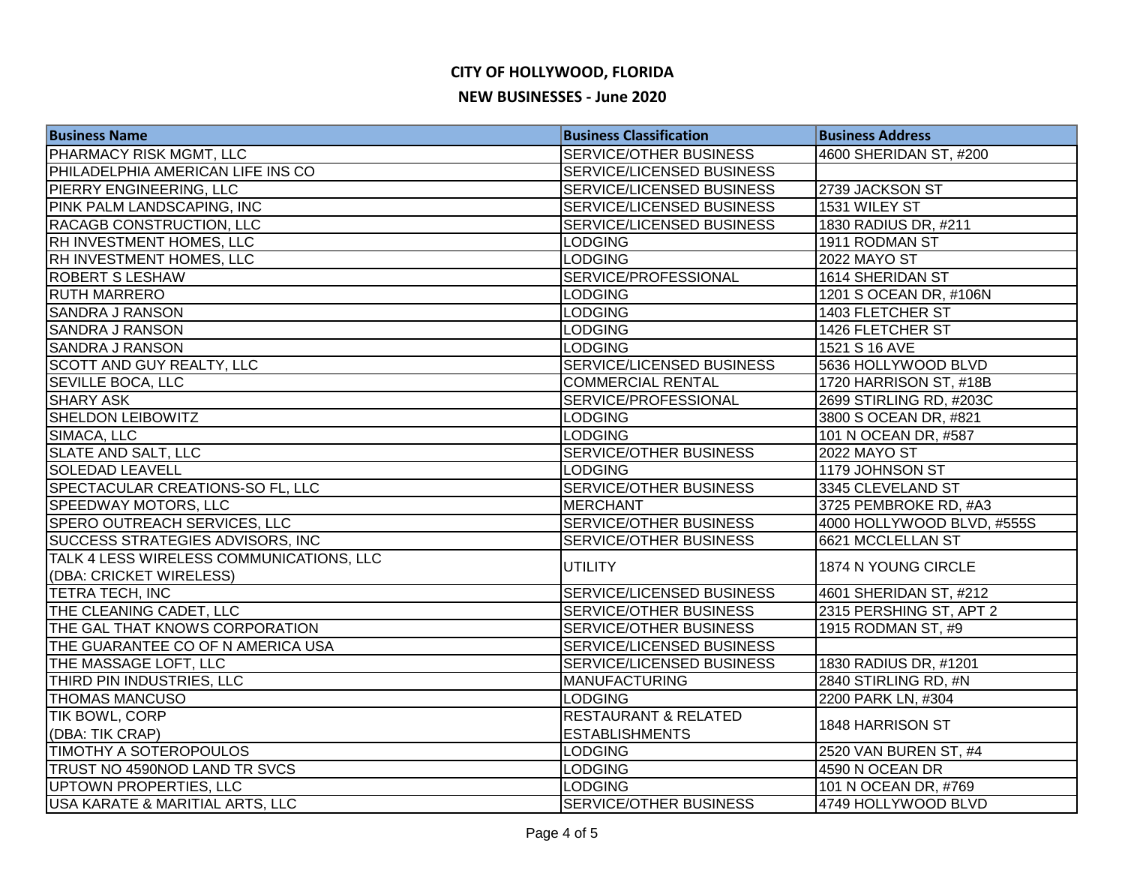| <b>Business Name</b>                                                | <b>Business Classification</b>   | <b>Business Address</b>    |
|---------------------------------------------------------------------|----------------------------------|----------------------------|
| PHARMACY RISK MGMT, LLC                                             | <b>SERVICE/OTHER BUSINESS</b>    | 4600 SHERIDAN ST, #200     |
| PHILADELPHIA AMERICAN LIFE INS CO                                   | SERVICE/LICENSED BUSINESS        |                            |
| PIERRY ENGINEERING, LLC                                             | SERVICE/LICENSED BUSINESS        | 2739 JACKSON ST            |
| PINK PALM LANDSCAPING, INC                                          | SERVICE/LICENSED BUSINESS        | 1531 WILEY ST              |
| <b>RACAGB CONSTRUCTION, LLC</b>                                     | SERVICE/LICENSED BUSINESS        | 1830 RADIUS DR, #211       |
| RH INVESTMENT HOMES, LLC                                            | <b>LODGING</b>                   | 1911 RODMAN ST             |
| RH INVESTMENT HOMES, LLC                                            | <b>LODGING</b>                   | <b>2022 MAYO ST</b>        |
| <b>ROBERT S LESHAW</b>                                              | SERVICE/PROFESSIONAL             | 1614 SHERIDAN ST           |
| <b>RUTH MARRERO</b>                                                 | <b>LODGING</b>                   | 1201 S OCEAN DR, #106N     |
| <b>SANDRA J RANSON</b>                                              | <b>LODGING</b>                   | 1403 FLETCHER ST           |
| <b>SANDRA J RANSON</b>                                              | <b>LODGING</b>                   | 1426 FLETCHER ST           |
| <b>SANDRA J RANSON</b>                                              | <b>LODGING</b>                   | 1521 S 16 AVE              |
| <b>SCOTT AND GUY REALTY, LLC</b>                                    | SERVICE/LICENSED BUSINESS        | 5636 HOLLYWOOD BLVD        |
| <b>SEVILLE BOCA, LLC</b>                                            | <b>COMMERCIAL RENTAL</b>         | 1720 HARRISON ST, #18B     |
| <b>SHARY ASK</b>                                                    | SERVICE/PROFESSIONAL             | 2699 STIRLING RD, #203C    |
| <b>SHELDON LEIBOWITZ</b>                                            | <b>LODGING</b>                   | 3800 S OCEAN DR, #821      |
| SIMACA, LLC                                                         | <b>LODGING</b>                   | 101 N OCEAN DR, #587       |
| <b>SLATE AND SALT, LLC</b>                                          | SERVICE/OTHER BUSINESS           | <b>2022 MAYO ST</b>        |
| <b>SOLEDAD LEAVELL</b>                                              | <b>LODGING</b>                   | 1179 JOHNSON ST            |
| SPECTACULAR CREATIONS-SO FL, LLC                                    | <b>SERVICE/OTHER BUSINESS</b>    | 3345 CLEVELAND ST          |
| <b>SPEEDWAY MOTORS, LLC</b>                                         | <b>MERCHANT</b>                  | 3725 PEMBROKE RD, #A3      |
| SPERO OUTREACH SERVICES, LLC                                        | <b>SERVICE/OTHER BUSINESS</b>    | 4000 HOLLYWOOD BLVD, #555S |
| SUCCESS STRATEGIES ADVISORS, INC                                    | SERVICE/OTHER BUSINESS           | 6621 MCCLELLAN ST          |
| TALK 4 LESS WIRELESS COMMUNICATIONS, LLC<br>(DBA: CRICKET WIRELESS) | <b>UTILITY</b>                   | 1874 N YOUNG CIRCLE        |
| TETRA TECH, INC                                                     | <b>SERVICE/LICENSED BUSINESS</b> | 4601 SHERIDAN ST, #212     |
| THE CLEANING CADET, LLC                                             | SERVICE/OTHER BUSINESS           | 2315 PERSHING ST, APT 2    |
| THE GAL THAT KNOWS CORPORATION                                      | <b>SERVICE/OTHER BUSINESS</b>    | 1915 RODMAN ST, #9         |
| THE GUARANTEE CO OF N AMERICA USA                                   | SERVICE/LICENSED BUSINESS        |                            |
| THE MASSAGE LOFT, LLC                                               | <b>SERVICE/LICENSED BUSINESS</b> | 1830 RADIUS DR, #1201      |
| THIRD PIN INDUSTRIES, LLC                                           | <b>MANUFACTURING</b>             | 2840 STIRLING RD, #N       |
| <b>THOMAS MANCUSO</b>                                               | <b>LODGING</b>                   | 2200 PARK LN, #304         |
| TIK BOWL, CORP                                                      | <b>RESTAURANT &amp; RELATED</b>  | 1848 HARRISON ST           |
| (DBA: TIK CRAP)                                                     | <b>ESTABLISHMENTS</b>            |                            |
| TIMOTHY A SOTEROPOULOS                                              | <b>LODGING</b>                   | 2520 VAN BUREN ST, #4      |
| TRUST NO 4590NOD LAND TR SVCS                                       | <b>LODGING</b>                   | 4590 N OCEAN DR            |
| UPTOWN PROPERTIES, LLC                                              | <b>LODGING</b>                   | 101 N OCEAN DR, #769       |
| USA KARATE & MARITIAL ARTS, LLC                                     | <b>SERVICE/OTHER BUSINESS</b>    | 4749 HOLLYWOOD BLVD        |